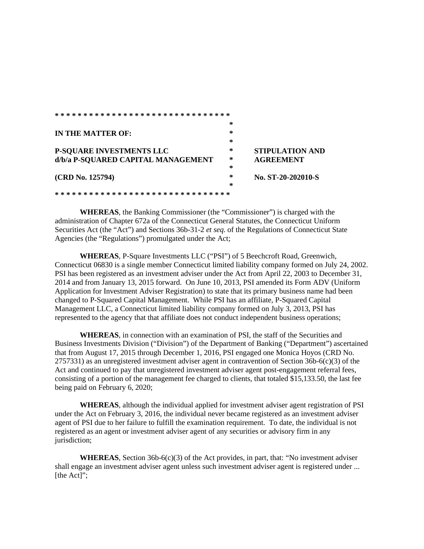|                                    | *      |                        |
|------------------------------------|--------|------------------------|
| IN THE MATTER OF:                  | $\ast$ |                        |
|                                    | $\ast$ |                        |
| <b>P-SQUARE INVESTMENTS LLC</b>    | *      | <b>STIPULATION AND</b> |
| d/b/a P-SQUARED CAPITAL MANAGEMENT | ∗      | <b>AGREEMENT</b>       |
|                                    | ∗      |                        |
| (CRD No. 125794)                   | *      | No. ST-20-202010-S     |
|                                    | $\ast$ |                        |
|                                    |        |                        |

**WHEREAS**, the Banking Commissioner (the "Commissioner") is charged with the administration of Chapter 672a of the Connecticut General Statutes, the Connecticut Uniform Securities Act (the "Act") and Sections 36b-31-2 *et seq*. of the Regulations of Connecticut State Agencies (the "Regulations") promulgated under the Act;

**WHEREAS**, P-Square Investments LLC ("PSI") of 5 Beechcroft Road, Greenwich, Connecticut 06830 is a single member Connecticut limited liability company formed on July 24, 2002. PSI has been registered as an investment adviser under the Act from April 22, 2003 to December 31, 2014 and from January 13, 2015 forward. On June 10, 2013, PSI amended its Form ADV (Uniform Application for Investment Adviser Registration) to state that its primary business name had been changed to P-Squared Capital Management. While PSI has an affiliate, P-Squared Capital Management LLC, a Connecticut limited liability company formed on July 3, 2013, PSI has represented to the agency that that affiliate does not conduct independent business operations;

**WHEREAS**, in connection with an examination of PSI, the staff of the Securities and Business Investments Division ("Division") of the Department of Banking ("Department") ascertained that from August 17, 2015 through December 1, 2016, PSI engaged one Monica Hoyos (CRD No.  $2757331$ ) as an unregistered investment adviser agent in contravention of Section 36b-6(c)(3) of the Act and continued to pay that unregistered investment adviser agent post-engagement referral fees, consisting of a portion of the management fee charged to clients, that totaled \$15,133.50, the last fee being paid on February 6, 2020;

**WHEREAS**, although the individual applied for investment adviser agent registration of PSI under the Act on February 3, 2016, the individual never became registered as an investment adviser agent of PSI due to her failure to fulfill the examination requirement. To date, the individual is not registered as an agent or investment adviser agent of any securities or advisory firm in any jurisdiction;

**WHEREAS**, Section 36b-6(c)(3) of the Act provides, in part, that: "No investment adviser shall engage an investment adviser agent unless such investment adviser agent is registered under ... [the Act]";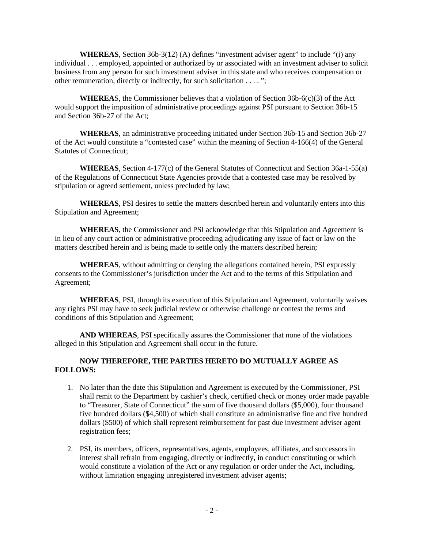**WHEREAS**, Section 36b-3(12) (A) defines "investment adviser agent" to include "(i) any individual . . . employed, appointed or authorized by or associated with an investment adviser to solicit business from any person for such investment adviser in this state and who receives compensation or other remuneration, directly or indirectly, for such solicitation . . . . ";

**WHEREA**S, the Commissioner believes that a violation of Section 36b-6(c)(3) of the Act would support the imposition of administrative proceedings against PSI pursuant to Section 36b-15 and Section 36b-27 of the Act;

**WHEREAS**, an administrative proceeding initiated under Section 36b-15 and Section 36b-27 of the Act would constitute a "contested case" within the meaning of Section 4-166(4) of the General Statutes of Connecticut;

**WHEREAS**, Section 4-177(c) of the General Statutes of Connecticut and Section 36a-1-55(a) of the Regulations of Connecticut State Agencies provide that a contested case may be resolved by stipulation or agreed settlement, unless precluded by law;

**WHEREAS**, PSI desires to settle the matters described herein and voluntarily enters into this Stipulation and Agreement;

**WHEREAS**, the Commissioner and PSI acknowledge that this Stipulation and Agreement is in lieu of any court action or administrative proceeding adjudicating any issue of fact or law on the matters described herein and is being made to settle only the matters described herein;

**WHEREAS**, without admitting or denying the allegations contained herein, PSI expressly consents to the Commissioner's jurisdiction under the Act and to the terms of this Stipulation and Agreement;

**WHEREAS**, PSI, through its execution of this Stipulation and Agreement, voluntarily waives any rights PSI may have to seek judicial review or otherwise challenge or contest the terms and conditions of this Stipulation and Agreement;

**AND WHEREAS**, PSI specifically assures the Commissioner that none of the violations alleged in this Stipulation and Agreement shall occur in the future.

## **NOW THEREFORE, THE PARTIES HERETO DO MUTUALLY AGREE AS FOLLOWS:**

- 1. No later than the date this Stipulation and Agreement is executed by the Commissioner, PSI shall remit to the Department by cashier's check, certified check or money order made payable to "Treasurer, State of Connecticut" the sum of five thousand dollars (\$5,000), four thousand five hundred dollars (\$4,500) of which shall constitute an administrative fine and five hundred dollars (\$500) of which shall represent reimbursement for past due investment adviser agent registration fees;
- 2. PSI, its members, officers, representatives, agents, employees, affiliates, and successors in interest shall refrain from engaging, directly or indirectly, in conduct constituting or which would constitute a violation of the Act or any regulation or order under the Act, including, without limitation engaging unregistered investment adviser agents;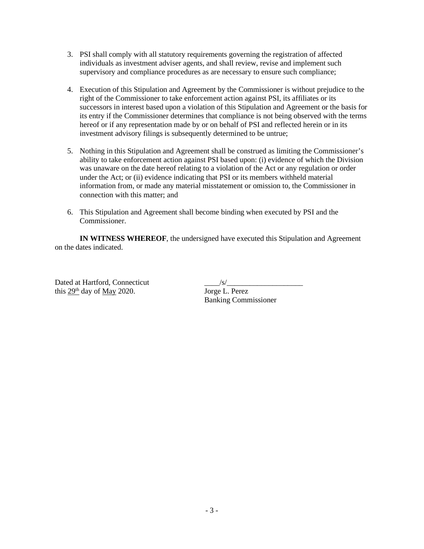- 3. PSI shall comply with all statutory requirements governing the registration of affected individuals as investment adviser agents, and shall review, revise and implement such supervisory and compliance procedures as are necessary to ensure such compliance;
- 4. Execution of this Stipulation and Agreement by the Commissioner is without prejudice to the right of the Commissioner to take enforcement action against PSI, its affiliates or its successors in interest based upon a violation of this Stipulation and Agreement or the basis for its entry if the Commissioner determines that compliance is not being observed with the terms hereof or if any representation made by or on behalf of PSI and reflected herein or in its investment advisory filings is subsequently determined to be untrue;
- 5. Nothing in this Stipulation and Agreement shall be construed as limiting the Commissioner's ability to take enforcement action against PSI based upon: (i) evidence of which the Division was unaware on the date hereof relating to a violation of the Act or any regulation or order under the Act; or (ii) evidence indicating that PSI or its members withheld material information from, or made any material misstatement or omission to, the Commissioner in connection with this matter; and
- 6. This Stipulation and Agreement shall become binding when executed by PSI and the Commissioner.

**IN WITNESS WHEREOF**, the undersigned have executed this Stipulation and Agreement on the dates indicated.

Dated at Hartford, Connecticut  $\frac{s}{s}$ this 29<sup>th</sup> day of May 2020. Jorge L. Perez

Banking Commissioner